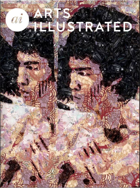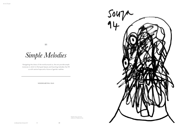

 $\sum_{i=1}^{n}$ 

Navigating the chaos of the world around us, the arts provide ample instances in which to find quiet beauty and haunting melodies that fill us with restive hope and a future of gentler realities

SIDDHARTHA DAS

*Simple Melodies*

Head by Souza, from the collection of Siddhartha Das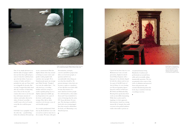One of my simple pleasures is to find the daily newspaper stuffed into my front door grill and get a sense of what the world has been up to the day before. I am not a creature of habit, and this is probably the only one I have held on to doggedly for decades. But recently, I stopped this daily ritual after the overdose of depressing news. News of the city and country that seem to care less and less, with insane amounts of violence and malice directed at others. It doesn't seem like a world I want to live in. It surely seems like the world has gone mad.

It felt like I was a sprightly 23 just the other day  $-$  a joyful feeling  $$ before the nefarious 40s snuck up

on me, unannounced. But that slightly distant other day seemed to belong to a more restive and gentler world, peopled with somehow nicer people. Or to blasphemously quote my teenage god, Pablo Neruda, 'Tonight I can write the saddest lines…' So, with tired eyes, a receding hairline and lesser energy as youth is quickly giving way to a slightly unpleasant middle age, my desperation to be a part of the better world is getting stronger. How did we allow ourselves to be become a race of such horrible people?

As a creative professional, I find that my ilk should have our work cut out for us and we must rise to the occasion. We must, with quiet

determination, strategise, conceive and deliver projects that allow us to be better people, to question and feel very uncomfortable when things are not what they should be. Do parents introspect when their son becomes a rapist or a murderer, of how did their sweet little child become this monster of a man? And how do these people live with themselves, what makes them such? I am reminded of a series of drawings that the artist, F.N. Souza did about 30 years ago. The drawings resembled a head with criss-crossing jagged lines that seemed to dismember the head, as if illustrating a very disturbed person.



I spent the last three days in a wet Bhubaneswar. I am a secondgeneration, displaced, mixedbreed Odiya-Gujarati, with a large part of my identity shaped by both the cultures and yet not. As a part of the JD Centre of Arts in Orissa, we were hosting two 90-year legendary figures from the world of architecture – BV Doshi and Mahendra Raj. Hearing them speak about their work was incredibly humanising. While their work in itself is inspiring, it is their approach, their journeys, based on a strong sinuous life of integrity that made everyone in the packed audience realise what makes a person an

exceptional human being. Hundreds of students and professionals sat around them, softly and reverentially asking innumerable questions. The two sat patiently in the centre of this circle of adulation and answered them with generosity and warmth. Reminiscing about this lovely day, it somehow feels that everything is not lost.

 $\overline{a}$ 

Anish Kapoor's Shooting Into the Corner, an installation with a cannon that shoots a red mass of solid paint, wax and Vaseline across two galleries of the Royal Academy, London.



Public installation on the bridge during the Milan Furniture Fair or Salone del Mobile, at Zono Tortona, Milan, Italy